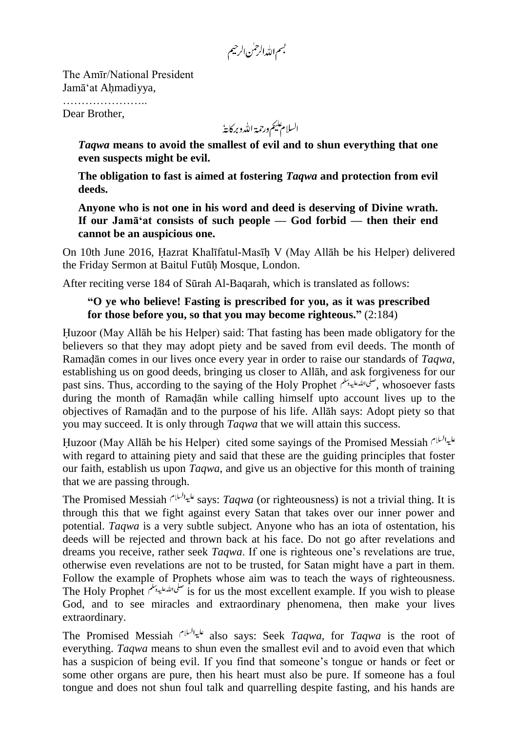بسم الله الرحمٰن الرحيم

The Amīr/National President Jamā'at Ahmadiyya,

………………….. Dear Brother,

السلام عليم ورحمة الله وبركايةُ

*Taqwa* **means to avoid the smallest of evil and to shun everything that one even suspects might be evil.**

**The obligation to fast is aimed at fostering** *Taqwa* **and protection from evil deeds.** 

**Anyone who is not one in his word and deed is deserving of Divine wrath. If our Jamā"at consists of such people — God forbid — then their end cannot be an auspicious one.**

On 10th June 2016, Hazrat Khalīfatul-Masīh V (May Allāh be his Helper) delivered the Friday Sermon at Baitul Futūh Mosque, London.

After reciting verse 184 of Sūrah Al-Baqarah, which is translated as follows:

## **"O ye who believe! Fasting is prescribed for you, as it was prescribed for those before you, so that you may become righteous."** (2:184)

Huzoor (May Allāh be his Helper) said: That fasting has been made obligatory for the believers so that they may adopt piety and be saved from evil deeds. The month of Ramadān comes in our lives once every year in order to raise our standards of *Taqwa*, establishing us on good deeds, bringing us closer to Allāh, and ask forgiveness for our past sins. Thus, according to the saying of the Holy Prophet , whosoever fasts during the month of Ramadān while calling himself upto account lives up to the objectives of Ramadān and to the purpose of his life. Allāh says: Adopt piety so that you may succeed. It is only through *Taqwa* that we will attain this success.

Huzoor (May Allāh be his Helper) cited some sayings of the Promised Messiah with regard to attaining piety and said that these are the guiding principles that foster our faith, establish us upon *Taqwa*, and give us an objective for this month of training that we are passing through.

The Promised Messiah says: *Taqwa* (or righteousness) is not a trivial thing. It is through this that we fight against every Satan that takes over our inner power and potential. *Taqwa* is a very subtle subject. Anyone who has an iota of ostentation, his deeds will be rejected and thrown back at his face. Do not go after revelations and dreams you receive, rather seek *Taqwa*. If one is righteous one's revelations are true, otherwise even revelations are not to be trusted, for Satan might have a part in them. Follow the example of Prophets whose aim was to teach the ways of righteousness. The Holy Prophet  $\overrightarrow{u}$  is for us the most excellent example. If you wish to please God, and to see miracles and extraordinary phenomena, then make your lives extraordinary.

The Promised Messiah also says: Seek *Taqwa*, for *Taqwa* is the root of everything. *Taqwa* means to shun even the smallest evil and to avoid even that which has a suspicion of being evil. If you find that someone's tongue or hands or feet or some other organs are pure, then his heart must also be pure. If someone has a foul tongue and does not shun foul talk and quarrelling despite fasting, and his hands are